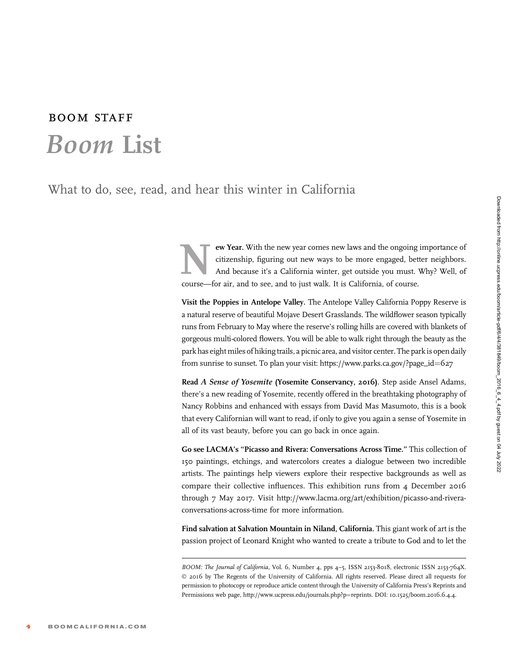## boom staff Boom List

What to do, see, read, and hear this winter in California

**EXECUTE:** The new year comes new laws and the ongoing importance of citizenship, figuring out new ways to be more engaged, better neighbors.<br>And because it's a California winter, get outside you must. Why? Well, of course citizenship, figuring out new ways to be more engaged, better neighbors. And because it's a California winter, get outside you must. Why? Well, of course—for air, and to see, and to just walk. It is California, of course.

Visit the Poppies in Antelope Valley. The Antelope Valley California Poppy Reserve is a natural reserve of beautiful Mojave Desert Grasslands. The wildflower season typically runs from February to May where the reserve's rolling hills are covered with blankets of gorgeous multi-colored flowers. You will be able to walk right through the beauty as the park has eight miles of hiking trails, a picnic area, and visitor center. The park is open daily from sunrise to sunset. To plan your visit: [https://www.parks.ca.gov/?page\\_id](https://www.parks.ca.gov/?page_id=627)=[627](https://www.parks.ca.gov/?page_id=627)

Read A Sense of Yosemite (Yosemite Conservancy, 2016). Step aside Ansel Adams, there's a new reading of Yosemite, recently offered in the breathtaking photography of Nancy Robbins and enhanced with essays from David Mas Masumoto, this is a book that every Californian will want to read, if only to give you again a sense of Yosemite in all of its vast beauty, before you can go back in once again.

Go see LACMA's ''Picasso and Rivera: Conversations Across Time.'' This collection of 150 paintings, etchings, and watercolors creates a dialogue between two incredible artists. The paintings help viewers explore their respective backgrounds as well as compare their collective influences. This exhibition runs from 4 December 2016 through 7 May 2017. Visit [http://www.lacma.org/art/exhibition/picasso-and-rivera](http://www.lacma.org/art/exhibition/picasso-and-rivera-conversations-across-time for more information)[conversations-across-time for more information.](http://www.lacma.org/art/exhibition/picasso-and-rivera-conversations-across-time for more information)

Find salvation at Salvation Mountain in Niland, California. This giant work of art is the passion project of Leonard Knight who wanted to create a tribute to God and to let the

BOOM: The Journal of California, Vol. 6, Number 4, pps 4-5, ISSN 2153-8018, electronic ISSN 2153-764X. © 2016 by The Regents of the University of California. All rights reserved. Please direct all requests for permission to photocopy or reproduce article content through the University of California Press's Reprints and Permissions web page, http://www.ucpress.edu/journals.php?p=reprints. DOI: 10.1525/boom.2016.6.4.4.